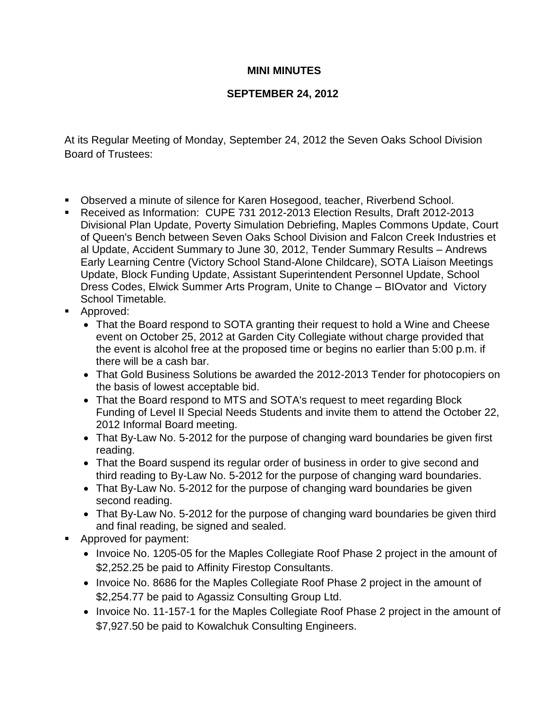## **MINI MINUTES**

## **SEPTEMBER 24, 2012**

At its Regular Meeting of Monday, September 24, 2012 the Seven Oaks School Division Board of Trustees:

- Observed a minute of silence for Karen Hosegood, teacher, Riverbend School.
- Received as Information: CUPE 731 2012-2013 Election Results, Draft 2012-2013 Divisional Plan Update, Poverty Simulation Debriefing, Maples Commons Update, Court of Queen's Bench between Seven Oaks School Division and Falcon Creek Industries et al Update, Accident Summary to June 30, 2012, Tender Summary Results – Andrews Early Learning Centre (Victory School Stand-Alone Childcare), SOTA Liaison Meetings Update, Block Funding Update, Assistant Superintendent Personnel Update, School Dress Codes, Elwick Summer Arts Program, Unite to Change – BIOvator and Victory School Timetable.
- **Approved:** 
	- That the Board respond to SOTA granting their request to hold a Wine and Cheese event on October 25, 2012 at Garden City Collegiate without charge provided that the event is alcohol free at the proposed time or begins no earlier than 5:00 p.m. if there will be a cash bar.
	- That Gold Business Solutions be awarded the 2012-2013 Tender for photocopiers on the basis of lowest acceptable bid.
	- That the Board respond to MTS and SOTA's request to meet regarding Block Funding of Level II Special Needs Students and invite them to attend the October 22, 2012 Informal Board meeting.
	- That By-Law No. 5-2012 for the purpose of changing ward boundaries be given first reading.
	- That the Board suspend its regular order of business in order to give second and third reading to By-Law No. 5-2012 for the purpose of changing ward boundaries.
	- That By-Law No. 5-2012 for the purpose of changing ward boundaries be given second reading.
	- That By-Law No. 5-2012 for the purpose of changing ward boundaries be given third and final reading, be signed and sealed.
- **Approved for payment:** 
	- Invoice No. 1205-05 for the Maples Collegiate Roof Phase 2 project in the amount of \$2,252.25 be paid to Affinity Firestop Consultants.
	- Invoice No. 8686 for the Maples Collegiate Roof Phase 2 project in the amount of \$2,254.77 be paid to Agassiz Consulting Group Ltd.
	- Invoice No. 11-157-1 for the Maples Collegiate Roof Phase 2 project in the amount of \$7,927.50 be paid to Kowalchuk Consulting Engineers.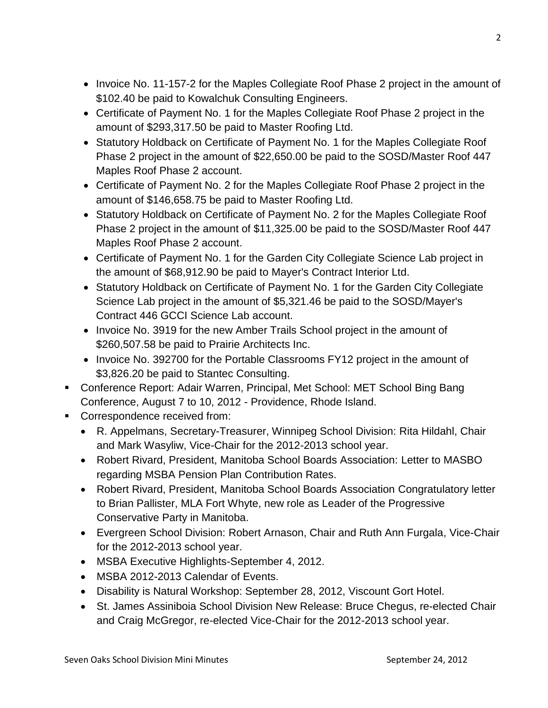- Invoice No. 11-157-2 for the Maples Collegiate Roof Phase 2 project in the amount of \$102.40 be paid to Kowalchuk Consulting Engineers.
- Certificate of Payment No. 1 for the Maples Collegiate Roof Phase 2 project in the amount of \$293,317.50 be paid to Master Roofing Ltd.
- Statutory Holdback on Certificate of Payment No. 1 for the Maples Collegiate Roof Phase 2 project in the amount of \$22,650.00 be paid to the SOSD/Master Roof 447 Maples Roof Phase 2 account.
- Certificate of Payment No. 2 for the Maples Collegiate Roof Phase 2 project in the amount of \$146,658.75 be paid to Master Roofing Ltd.
- Statutory Holdback on Certificate of Payment No. 2 for the Maples Collegiate Roof Phase 2 project in the amount of \$11,325.00 be paid to the SOSD/Master Roof 447 Maples Roof Phase 2 account.
- Certificate of Payment No. 1 for the Garden City Collegiate Science Lab project in the amount of \$68,912.90 be paid to Mayer's Contract Interior Ltd.
- Statutory Holdback on Certificate of Payment No. 1 for the Garden City Collegiate Science Lab project in the amount of \$5,321.46 be paid to the SOSD/Mayer's Contract 446 GCCI Science Lab account.
- Invoice No. 3919 for the new Amber Trails School project in the amount of \$260,507.58 be paid to Prairie Architects Inc.
- Invoice No. 392700 for the Portable Classrooms FY12 project in the amount of \$3,826.20 be paid to Stantec Consulting.
- Conference Report: Adair Warren, Principal, Met School: MET School Bing Bang Conference, August 7 to 10, 2012 - Providence, Rhode Island.
- **Correspondence received from:** 
	- R. Appelmans, Secretary-Treasurer, Winnipeg School Division: Rita Hildahl, Chair and Mark Wasyliw, Vice-Chair for the 2012-2013 school year.
	- Robert Rivard, President, Manitoba School Boards Association: Letter to MASBO regarding MSBA Pension Plan Contribution Rates.
	- Robert Rivard, President, Manitoba School Boards Association Congratulatory letter to Brian Pallister, MLA Fort Whyte, new role as Leader of the Progressive Conservative Party in Manitoba.
	- Evergreen School Division: Robert Arnason, Chair and Ruth Ann Furgala, Vice-Chair for the 2012-2013 school year.
	- MSBA Executive Highlights-September 4, 2012.
	- MSBA 2012-2013 Calendar of Events.
	- Disability is Natural Workshop: September 28, 2012, Viscount Gort Hotel.
	- St. James Assiniboia School Division New Release: Bruce Chegus, re-elected Chair and Craig McGregor, re-elected Vice-Chair for the 2012-2013 school year.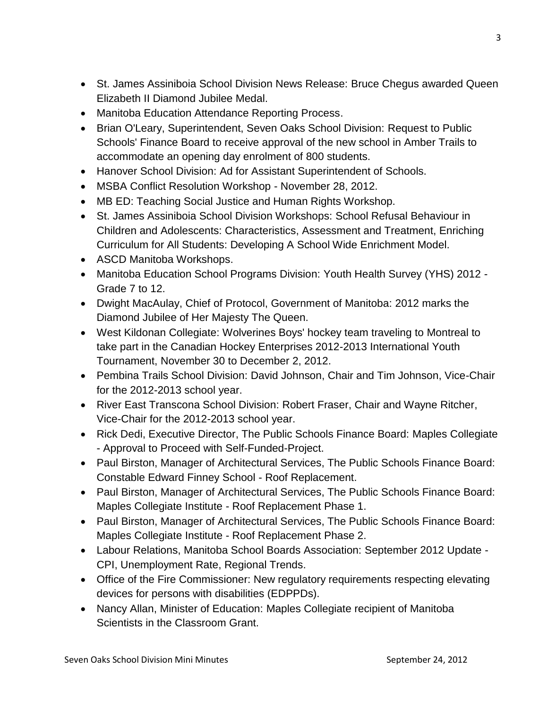- St. James Assiniboia School Division News Release: Bruce Chegus awarded Queen Elizabeth II Diamond Jubilee Medal.
- Manitoba Education Attendance Reporting Process.
- Brian O'Leary, Superintendent, Seven Oaks School Division: Request to Public Schools' Finance Board to receive approval of the new school in Amber Trails to accommodate an opening day enrolment of 800 students.
- Hanover School Division: Ad for Assistant Superintendent of Schools.
- MSBA Conflict Resolution Workshop November 28, 2012.
- MB ED: Teaching Social Justice and Human Rights Workshop.
- St. James Assiniboia School Division Workshops: School Refusal Behaviour in Children and Adolescents: Characteristics, Assessment and Treatment, Enriching Curriculum for All Students: Developing A School Wide Enrichment Model.
- ASCD Manitoba Workshops.
- Manitoba Education School Programs Division: Youth Health Survey (YHS) 2012 Grade 7 to 12.
- Dwight MacAulay, Chief of Protocol, Government of Manitoba: 2012 marks the Diamond Jubilee of Her Majesty The Queen.
- West Kildonan Collegiate: Wolverines Boys' hockey team traveling to Montreal to take part in the Canadian Hockey Enterprises 2012-2013 International Youth Tournament, November 30 to December 2, 2012.
- Pembina Trails School Division: David Johnson, Chair and Tim Johnson, Vice-Chair for the 2012-2013 school year.
- River East Transcona School Division: Robert Fraser, Chair and Wayne Ritcher, Vice-Chair for the 2012-2013 school year.
- Rick Dedi, Executive Director, The Public Schools Finance Board: Maples Collegiate - Approval to Proceed with Self-Funded-Project.
- Paul Birston, Manager of Architectural Services, The Public Schools Finance Board: Constable Edward Finney School - Roof Replacement.
- Paul Birston, Manager of Architectural Services, The Public Schools Finance Board: Maples Collegiate Institute - Roof Replacement Phase 1.
- Paul Birston, Manager of Architectural Services, The Public Schools Finance Board: Maples Collegiate Institute - Roof Replacement Phase 2.
- Labour Relations, Manitoba School Boards Association: September 2012 Update CPI, Unemployment Rate, Regional Trends.
- Office of the Fire Commissioner: New regulatory requirements respecting elevating devices for persons with disabilities (EDPPDs).
- Nancy Allan, Minister of Education: Maples Collegiate recipient of Manitoba Scientists in the Classroom Grant.